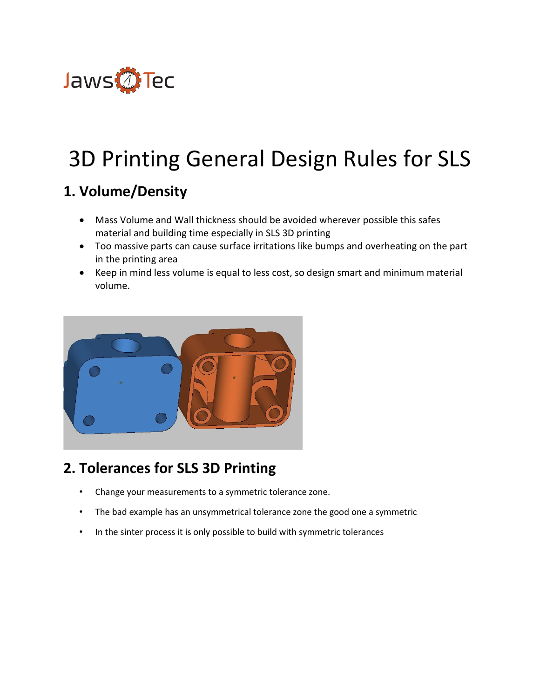

# 3D Printing General Design Rules for SLS

## **1. Volume/Density**

- Mass Volume and Wall thickness should be avoided wherever possible this safes material and building time especially in SLS 3D printing
- Too massive parts can cause surface irritations like bumps and overheating on the part in the printing area
- Keep in mind less volume is equal to less cost, so design smart and minimum material volume.



# **2. Tolerances for SLS 3D Printing**

- Change your measurements to a symmetric tolerance zone.
- The bad example has an unsymmetrical tolerance zone the good one a symmetric
- In the sinter process it is only possible to build with symmetric tolerances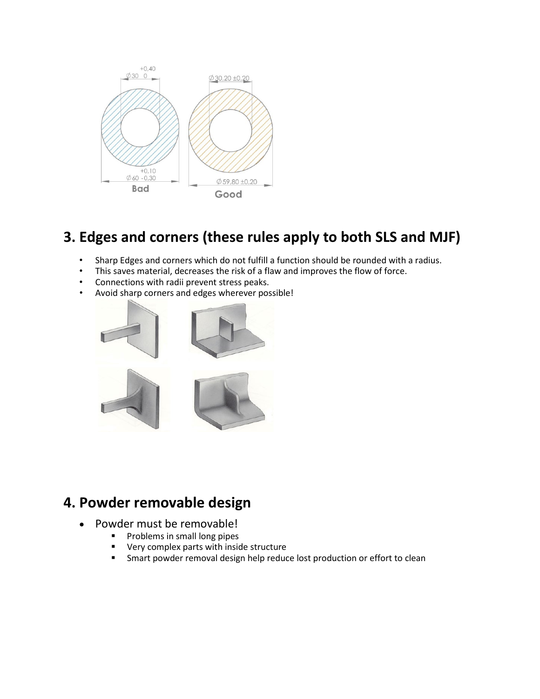

## **3. Edges and corners (these rules apply to both SLS and MJF)**

- Sharp Edges and corners which do not fulfill a function should be rounded with a radius.
- This saves material, decreases the risk of a flaw and improves the flow of force.
- Connections with radii prevent stress peaks.
- Avoid sharp corners and edges wherever possible!



#### **4. Powder removable design**

- Powder must be removable!
	- **Problems in small long pipes**<br>**Property complex parts with insignal**
	- Very complex parts with inside structure
	- **F** Smart powder removal design help reduce lost production or effort to clean